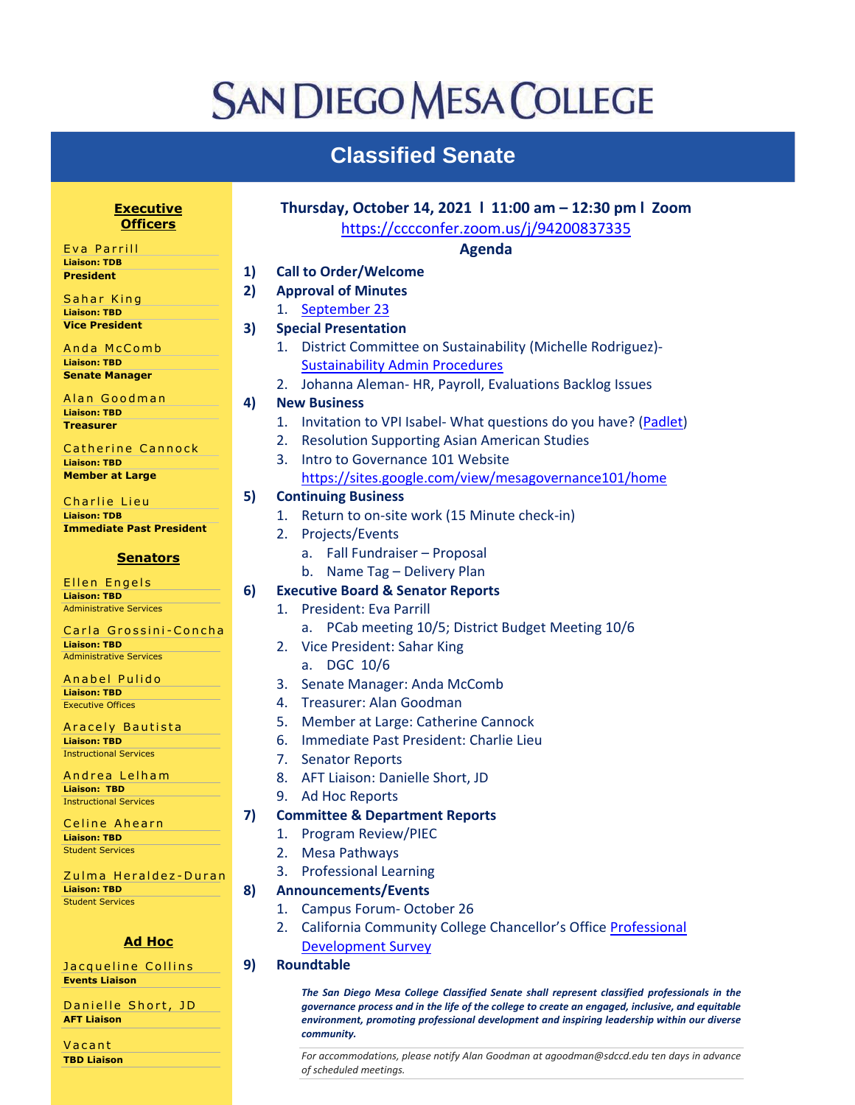## **SAN DIEGO MESA COLLEGE**

## **Classified Senate**

**AFT Liaison Vacant TBD Liaison** 

| <b>Executive</b><br><b>Officers</b>                    |    | Thursday, October 14, 2021   11:00 am - 12:30 pm   Zoom<br>https://cccconfer.zoom.us/j/94200837335 |
|--------------------------------------------------------|----|----------------------------------------------------------------------------------------------------|
| Eva Parrill                                            |    | <b>Agenda</b>                                                                                      |
| <b>Liaison: TDB</b>                                    | 1) | <b>Call to Order/Welcome</b>                                                                       |
| <b>President</b>                                       |    |                                                                                                    |
| Sahar King                                             | 2) | <b>Approval of Minutes</b>                                                                         |
| <b>Liaison: TBD</b>                                    |    | September 23<br>1.                                                                                 |
| <b>Vice President</b>                                  | 3) | <b>Special Presentation</b>                                                                        |
| Anda McComb                                            |    | District Committee on Sustainability (Michelle Rodriguez)-<br>1.                                   |
| <b>Liaison: TBD</b>                                    |    | <b>Sustainability Admin Procedures</b>                                                             |
| <b>Senate Manager</b>                                  |    | 2. Johanna Aleman- HR, Payroll, Evaluations Backlog Issues                                         |
| Alan Goodman                                           |    |                                                                                                    |
| <b>Liaison: TBD</b>                                    | 4) | <b>New Business</b>                                                                                |
| <b>Treasurer</b>                                       |    | Invitation to VPI Isabel- What questions do you have? (Padlet)<br>1.                               |
| Catherine Cannock                                      |    | <b>Resolution Supporting Asian American Studies</b><br>2.                                          |
| <b>Liaison: TBD</b>                                    |    | Intro to Governance 101 Website<br>3.                                                              |
| <b>Member at Large</b>                                 |    | https://sites.google.com/view/mesagovernance101/home                                               |
|                                                        | 5) | <b>Continuing Business</b>                                                                         |
| Charlie Lieu                                           |    |                                                                                                    |
| <b>Liaison: TDB</b><br><b>Immediate Past President</b> |    | Return to on-site work (15 Minute check-in)<br>1.                                                  |
|                                                        |    | Projects/Events<br>2.                                                                              |
| <b>Senators</b>                                        |    | a. Fall Fundraiser - Proposal                                                                      |
|                                                        |    | b. Name Tag - Delivery Plan                                                                        |
| Ellen Engels                                           | 6) | <b>Executive Board &amp; Senator Reports</b>                                                       |
| <b>Liaison: TBD</b><br><b>Administrative Services</b>  |    | <b>President: Eva Parrill</b><br>1.                                                                |
|                                                        |    |                                                                                                    |
| Carla Grossini-Concha                                  |    | a. PCab meeting 10/5; District Budget Meeting 10/6                                                 |
| <b>Liaison: TBD</b><br><b>Administrative Services</b>  |    | 2. Vice President: Sahar King                                                                      |
|                                                        |    | a. DGC 10/6                                                                                        |
| Anabel Pulido                                          |    | Senate Manager: Anda McComb<br>3.                                                                  |
| <b>Liaison: TBD</b><br><b>Executive Offices</b>        |    | Treasurer: Alan Goodman<br>4.                                                                      |
|                                                        |    | Member at Large: Catherine Cannock<br>5.                                                           |
| Aracely Bautista                                       |    |                                                                                                    |
| <b>Liaison: TBD</b><br><b>Instructional Services</b>   |    | Immediate Past President: Charlie Lieu<br>6.                                                       |
|                                                        |    | 7.<br><b>Senator Reports</b>                                                                       |
| Andrea Lelham                                          |    | AFT Liaison: Danielle Short, JD<br>8.                                                              |
| <b>Liaison: TBD</b><br><b>Instructional Services</b>   |    | <b>Ad Hoc Reports</b><br>9.                                                                        |
|                                                        | 7) | <b>Committee &amp; Department Reports</b>                                                          |
| Celine Ahearn                                          |    | <b>Program Review/PIEC</b><br>1.                                                                   |
| <b>Liaison: TBD</b>                                    |    |                                                                                                    |
| <b>Student Services</b>                                |    | 2.<br><b>Mesa Pathways</b>                                                                         |
| Zulma Heraldez-Duran                                   |    | <b>Professional Learning</b><br>3.                                                                 |
| <b>Liaison: TBD</b>                                    | 8) | <b>Announcements/Events</b>                                                                        |
| <b>Student Services</b>                                |    | Campus Forum-October 26<br>1.                                                                      |
|                                                        |    | California Community College Chancellor's Office Professional<br>2.                                |
| <b>Ad Hoc</b>                                          |    | <b>Development Survey</b>                                                                          |
|                                                        |    |                                                                                                    |
| Jacqueline Collins                                     | 9) | <b>Roundtable</b>                                                                                  |
| <b>Events Liaison</b>                                  |    | The San Diego Mesa College Classified Senate shall represent classified professionals in the       |
| Danielle Short, JD                                     |    | governance process and in the life of the college to create an engaged, inclusive, and equitable   |

*community. For accommodations, please notify Alan Goodman at agoodman@sdccd.edu ten days in advance of scheduled meetings.*

*environment, promoting professional development and inspiring leadership within our diverse*